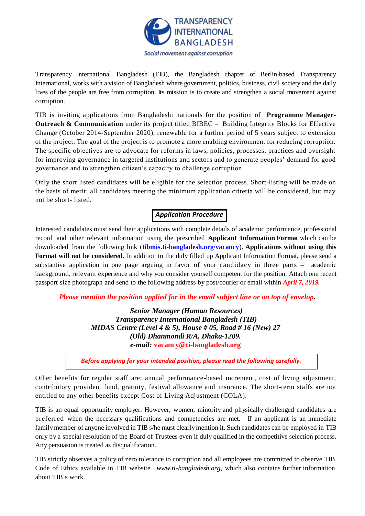

Transparency International Bangladesh (TIB), the Bangladesh chapter of Berlin-based Transparency International, works with a vision of Bangladesh where government, politics, business, civil society and the daily lives of the people are free from corruption. Its mission is to create and strengthen a social movement against corruption.

TIB is inviting applications from Bangladeshi nationals for the position of **Programme Manager-Outreach & Communication** under its project titled BIBEC – Building Integrity Blocks for Effective Change (October 2014-September 2020), renewable for a further period of 5 years subject to extension of the project. The goal of the project is to promote a more enabling environment for reducing corruption. The specific objectives are to advocate for reforms in laws, policies, processes, practices and oversight for improving governance in targeted institutions and sectors and to generate peoples' demand for good governance and to strengthen citizen's capacity to challenge corruption.

Only the short listed candidates will be eligible for the selection process. Short-listing will be made on the basis of merit; all candidates meeting the minimum application criteria will be considered, but may not be short- listed.

# *Application Procedure*

Interested candidates must send their applications with complete details of academic performance, professional record and other relevant information using the prescribed **Applicant Information Format** which can be downloaded from the following link (**[tibmis.ti-bangladesh.org/vacancy](http://www.ti-bangladesh.org/vacancy)**). **Applications without using this Format will not be considered**. In addition to the duly filled up Applicant Information Format, please send a substantive application in one page arguing in favor of your candidacy in three parts – academic background, relevant experience and why you consider yourself competent for the position. Attach one recent passport size photograph and send to the following address by post/courier or email within *April 7, 2019.*

*Please mention the position applied for in the email subject line or on top of envelop***.**

*Senior Manager (Human Resources) Transparency International Bangladesh (TIB) MIDAS Centre (Level 4 & 5), House # 05, Road # 16 (New) 27 (Old) Dhanmondi R/A, Dhaka-1209. e-mail:* **vacancy@ti-bangladesh.org**

*Before applying for your intended position, please read the following carefully.*

Other benefits for regular staff are: annual performance-based increment, cost of living adjustment, contributory provident fund, gratuity, festival allowance and insurance. The short-term staffs are not entitled to any other benefits except Cost of Living Adjustment (COLA).

TIB is an equal opportunity employer. However, women, minority and physically challenged candidates are preferred when the necessary qualifications and competencies are met. If an applicant is an immediate family member of anyone involved in TIB s/he must clearly mention it. Such candidates can be employed in TIB only by a special resolution of the Board of Trustees even if duly qualified in the competitive selection process. Any persuasion is treated as disqualification.

TIB strictly observes a policy of zero tolerance to corruption and all employees are committed to observe TIB Code of Ethics available in TIB website *[www.ti-bangladesh.org](http://www.ti-bangladesh.org/)*, which also contains further information about TIB's work.